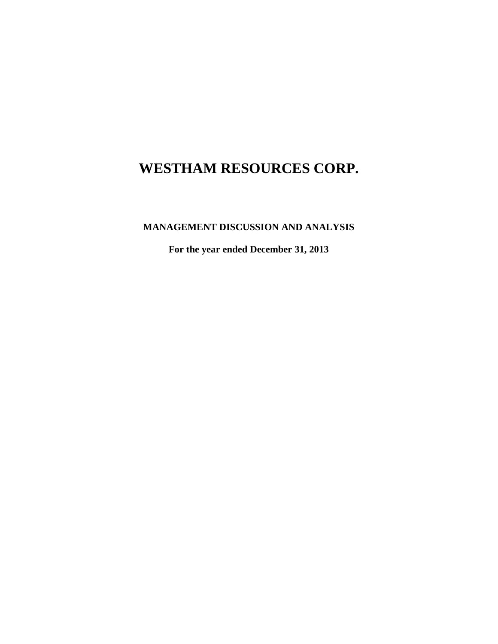**MANAGEMENT DISCUSSION AND ANALYSIS**

**For the year ended December 31, 2013**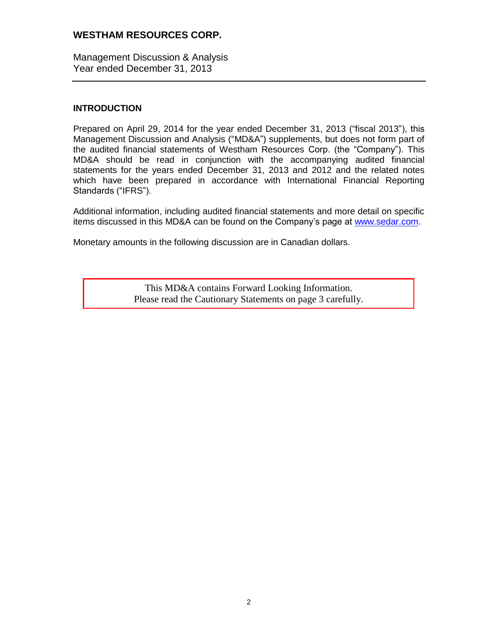Management Discussion & Analysis Year ended December 31, 2013

### **INTRODUCTION**

Prepared on April 29, 2014 for the year ended December 31, 2013 ("fiscal 2013"), this Management Discussion and Analysis ("MD&A") supplements, but does not form part of the audited financial statements of Westham Resources Corp. (the "Company"). This MD&A should be read in conjunction with the accompanying audited financial statements for the years ended December 31, 2013 and 2012 and the related notes which have been prepared in accordance with International Financial Reporting Standards ("IFRS").

Additional information, including audited financial statements and more detail on specific items discussed in this MD&A can be found on the Company's page at [www.sedar.com.](http://www.sedar.com/)

Monetary amounts in the following discussion are in Canadian dollars.

This MD&A contains Forward Looking Information. Please read the Cautionary Statements on page 3 carefully.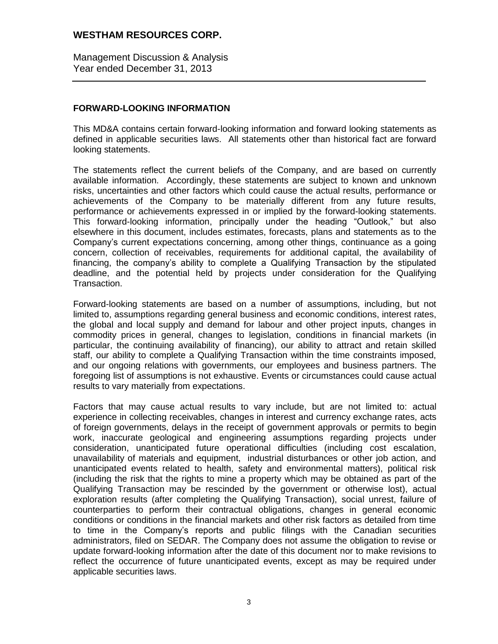Management Discussion & Analysis Year ended December 31, 2013

### **FORWARD-LOOKING INFORMATION**

This MD&A contains certain forward-looking information and forward looking statements as defined in applicable securities laws. All statements other than historical fact are forward looking statements.

The statements reflect the current beliefs of the Company, and are based on currently available information. Accordingly, these statements are subject to known and unknown risks, uncertainties and other factors which could cause the actual results, performance or achievements of the Company to be materially different from any future results, performance or achievements expressed in or implied by the forward-looking statements. This forward-looking information, principally under the heading "Outlook," but also elsewhere in this document, includes estimates, forecasts, plans and statements as to the Company's current expectations concerning, among other things, continuance as a going concern, collection of receivables, requirements for additional capital, the availability of financing, the company's ability to complete a Qualifying Transaction by the stipulated deadline, and the potential held by projects under consideration for the Qualifying Transaction.

Forward-looking statements are based on a number of assumptions, including, but not limited to, assumptions regarding general business and economic conditions, interest rates, the global and local supply and demand for labour and other project inputs, changes in commodity prices in general, changes to legislation, conditions in financial markets (in particular, the continuing availability of financing), our ability to attract and retain skilled staff, our ability to complete a Qualifying Transaction within the time constraints imposed, and our ongoing relations with governments, our employees and business partners. The foregoing list of assumptions is not exhaustive. Events or circumstances could cause actual results to vary materially from expectations.

Factors that may cause actual results to vary include, but are not limited to: actual experience in collecting receivables, changes in interest and currency exchange rates, acts of foreign governments, delays in the receipt of government approvals or permits to begin work, inaccurate geological and engineering assumptions regarding projects under consideration, unanticipated future operational difficulties (including cost escalation, unavailability of materials and equipment, industrial disturbances or other job action, and unanticipated events related to health, safety and environmental matters), political risk (including the risk that the rights to mine a property which may be obtained as part of the Qualifying Transaction may be rescinded by the government or otherwise lost), actual exploration results (after completing the Qualifying Transaction), social unrest, failure of counterparties to perform their contractual obligations, changes in general economic conditions or conditions in the financial markets and other risk factors as detailed from time to time in the Company's reports and public filings with the Canadian securities administrators, filed on SEDAR. The Company does not assume the obligation to revise or update forward-looking information after the date of this document nor to make revisions to reflect the occurrence of future unanticipated events, except as may be required under applicable securities laws.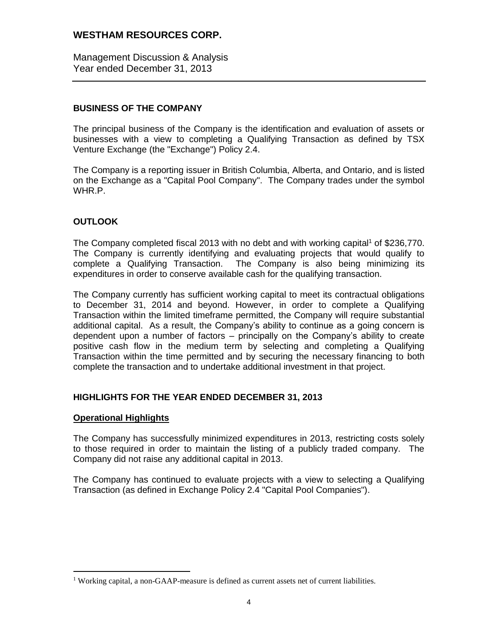Management Discussion & Analysis Year ended December 31, 2013

# **BUSINESS OF THE COMPANY**

The principal business of the Company is the identification and evaluation of assets or businesses with a view to completing a Qualifying Transaction as defined by TSX Venture Exchange (the "Exchange") Policy 2.4.

The Company is a reporting issuer in British Columbia, Alberta, and Ontario, and is listed on the Exchange as a "Capital Pool Company". The Company trades under the symbol WHR.P.

# **OUTLOOK**

The Company completed fiscal 2013 with no debt and with working capital<sup>1</sup> of \$236,770. The Company is currently identifying and evaluating projects that would qualify to complete a Qualifying Transaction. The Company is also being minimizing its expenditures in order to conserve available cash for the qualifying transaction.

The Company currently has sufficient working capital to meet its contractual obligations to December 31, 2014 and beyond. However, in order to complete a Qualifying Transaction within the limited timeframe permitted, the Company will require substantial additional capital. As a result, the Company's ability to continue as a going concern is dependent upon a number of factors – principally on the Company's ability to create positive cash flow in the medium term by selecting and completing a Qualifying Transaction within the time permitted and by securing the necessary financing to both complete the transaction and to undertake additional investment in that project.

# **HIGHLIGHTS FOR THE YEAR ENDED DECEMBER 31, 2013**

### **Operational Highlights**

 $\overline{a}$ 

The Company has successfully minimized expenditures in 2013, restricting costs solely to those required in order to maintain the listing of a publicly traded company. The Company did not raise any additional capital in 2013.

The Company has continued to evaluate projects with a view to selecting a Qualifying Transaction (as defined in Exchange Policy 2.4 "Capital Pool Companies").

<sup>&</sup>lt;sup>1</sup> Working capital, a non-GAAP-measure is defined as current assets net of current liabilities.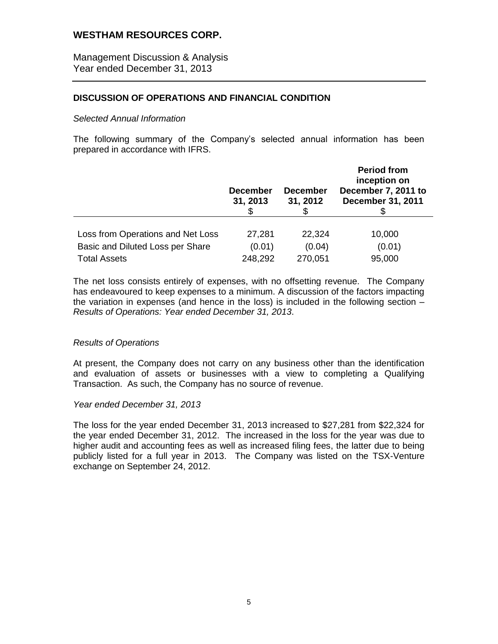Management Discussion & Analysis Year ended December 31, 2013

### **DISCUSSION OF OPERATIONS AND FINANCIAL CONDITION**

#### *Selected Annual Information*

The following summary of the Company's selected annual information has been prepared in accordance with IFRS.

|                                   | <b>December</b><br>31, 2013 | <b>December</b><br>31, 2012 | <b>Period from</b><br>inception on<br>December 7, 2011 to<br><b>December 31, 2011</b> |
|-----------------------------------|-----------------------------|-----------------------------|---------------------------------------------------------------------------------------|
| Loss from Operations and Net Loss | 27,281                      | 22,324                      | 10,000                                                                                |
| Basic and Diluted Loss per Share  | (0.01)                      | (0.04)                      |                                                                                       |
|                                   |                             |                             | (0.01)                                                                                |
| <b>Total Assets</b>               | 248,292                     | 270,051                     | 95,000                                                                                |

The net loss consists entirely of expenses, with no offsetting revenue. The Company has endeavoured to keep expenses to a minimum. A discussion of the factors impacting the variation in expenses (and hence in the loss) is included in the following section – *Results of Operations: Year ended December 31, 2013*.

#### *Results of Operations*

At present, the Company does not carry on any business other than the identification and evaluation of assets or businesses with a view to completing a Qualifying Transaction. As such, the Company has no source of revenue.

#### *Year ended December 31, 2013*

The loss for the year ended December 31, 2013 increased to \$27,281 from \$22,324 for the year ended December 31, 2012. The increased in the loss for the year was due to higher audit and accounting fees as well as increased filing fees, the latter due to being publicly listed for a full year in 2013. The Company was listed on the TSX-Venture exchange on September 24, 2012.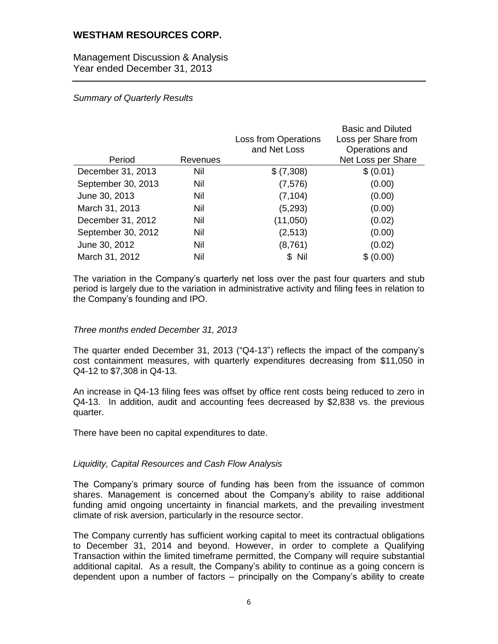Management Discussion & Analysis Year ended December 31, 2013

## *Summary of Quarterly Results*

|                    |          | Loss from Operations | <b>Basic and Diluted</b><br>Loss per Share from |
|--------------------|----------|----------------------|-------------------------------------------------|
|                    |          | and Net Loss         | Operations and                                  |
| Period             | Revenues |                      | Net Loss per Share                              |
| December 31, 2013  | Nil      | \$ (7,308)           | \$ (0.01)                                       |
| September 30, 2013 | Nil      | (7, 576)             | (0.00)                                          |
| June 30, 2013      | Nil      | (7, 104)             | (0.00)                                          |
| March 31, 2013     | Nil      | (5,293)              | (0.00)                                          |
| December 31, 2012  | Nil      | (11,050)             | (0.02)                                          |
| September 30, 2012 | Nil      | (2,513)              | (0.00)                                          |
| June 30, 2012      | Nil      | (8,761)              | (0.02)                                          |
| March 31, 2012     | Nil      | \$ Nil               | \$ (0.00)                                       |

The variation in the Company's quarterly net loss over the past four quarters and stub period is largely due to the variation in administrative activity and filing fees in relation to the Company's founding and IPO.

### *Three months ended December 31, 2013*

The quarter ended December 31, 2013 ("Q4-13") reflects the impact of the company's cost containment measures, with quarterly expenditures decreasing from \$11,050 in Q4-12 to \$7,308 in Q4-13.

An increase in Q4-13 filing fees was offset by office rent costs being reduced to zero in Q4-13. In addition, audit and accounting fees decreased by \$2,838 vs. the previous quarter.

There have been no capital expenditures to date.

### *Liquidity, Capital Resources and Cash Flow Analysis*

The Company's primary source of funding has been from the issuance of common shares. Management is concerned about the Company's ability to raise additional funding amid ongoing uncertainty in financial markets, and the prevailing investment climate of risk aversion, particularly in the resource sector.

The Company currently has sufficient working capital to meet its contractual obligations to December 31, 2014 and beyond. However, in order to complete a Qualifying Transaction within the limited timeframe permitted, the Company will require substantial additional capital. As a result, the Company's ability to continue as a going concern is dependent upon a number of factors – principally on the Company's ability to create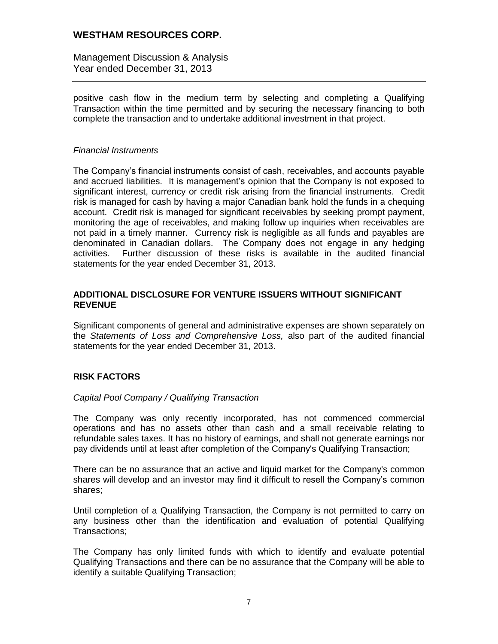Management Discussion & Analysis Year ended December 31, 2013

positive cash flow in the medium term by selecting and completing a Qualifying Transaction within the time permitted and by securing the necessary financing to both complete the transaction and to undertake additional investment in that project.

#### *Financial Instruments*

The Company's financial instruments consist of cash, receivables, and accounts payable and accrued liabilities. It is management's opinion that the Company is not exposed to significant interest, currency or credit risk arising from the financial instruments. Credit risk is managed for cash by having a major Canadian bank hold the funds in a chequing account. Credit risk is managed for significant receivables by seeking prompt payment, monitoring the age of receivables, and making follow up inquiries when receivables are not paid in a timely manner. Currency risk is negligible as all funds and payables are denominated in Canadian dollars. The Company does not engage in any hedging activities. Further discussion of these risks is available in the audited financial statements for the year ended December 31, 2013.

### **ADDITIONAL DISCLOSURE FOR VENTURE ISSUERS WITHOUT SIGNIFICANT REVENUE**

Significant components of general and administrative expenses are shown separately on the *Statements of Loss and Comprehensive Loss,* also part of the audited financial statements for the year ended December 31, 2013.

# **RISK FACTORS**

### *Capital Pool Company / Qualifying Transaction*

The Company was only recently incorporated, has not commenced commercial operations and has no assets other than cash and a small receivable relating to refundable sales taxes. It has no history of earnings, and shall not generate earnings nor pay dividends until at least after completion of the Company's Qualifying Transaction;

There can be no assurance that an active and liquid market for the Company's common shares will develop and an investor may find it difficult to resell the Company's common shares;

Until completion of a Qualifying Transaction, the Company is not permitted to carry on any business other than the identification and evaluation of potential Qualifying Transactions;

The Company has only limited funds with which to identify and evaluate potential Qualifying Transactions and there can be no assurance that the Company will be able to identify a suitable Qualifying Transaction;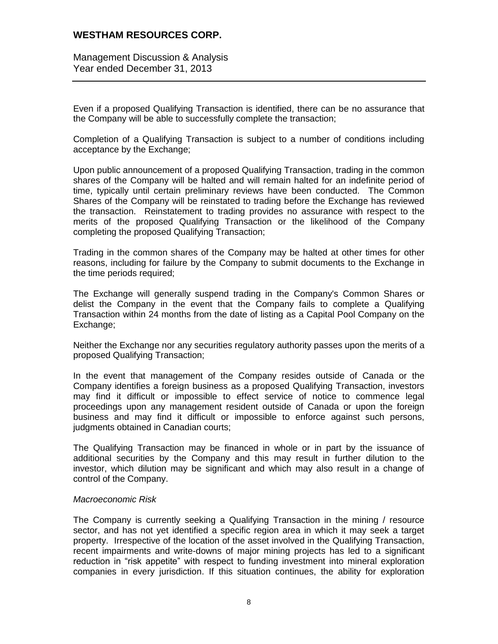Management Discussion & Analysis Year ended December 31, 2013

Even if a proposed Qualifying Transaction is identified, there can be no assurance that the Company will be able to successfully complete the transaction;

Completion of a Qualifying Transaction is subject to a number of conditions including acceptance by the Exchange;

Upon public announcement of a proposed Qualifying Transaction, trading in the common shares of the Company will be halted and will remain halted for an indefinite period of time, typically until certain preliminary reviews have been conducted. The Common Shares of the Company will be reinstated to trading before the Exchange has reviewed the transaction. Reinstatement to trading provides no assurance with respect to the merits of the proposed Qualifying Transaction or the likelihood of the Company completing the proposed Qualifying Transaction;

Trading in the common shares of the Company may be halted at other times for other reasons, including for failure by the Company to submit documents to the Exchange in the time periods required;

The Exchange will generally suspend trading in the Company's Common Shares or delist the Company in the event that the Company fails to complete a Qualifying Transaction within 24 months from the date of listing as a Capital Pool Company on the Exchange;

Neither the Exchange nor any securities regulatory authority passes upon the merits of a proposed Qualifying Transaction;

In the event that management of the Company resides outside of Canada or the Company identifies a foreign business as a proposed Qualifying Transaction, investors may find it difficult or impossible to effect service of notice to commence legal proceedings upon any management resident outside of Canada or upon the foreign business and may find it difficult or impossible to enforce against such persons, judgments obtained in Canadian courts;

The Qualifying Transaction may be financed in whole or in part by the issuance of additional securities by the Company and this may result in further dilution to the investor, which dilution may be significant and which may also result in a change of control of the Company.

#### *Macroeconomic Risk*

The Company is currently seeking a Qualifying Transaction in the mining / resource sector, and has not yet identified a specific region area in which it may seek a target property. Irrespective of the location of the asset involved in the Qualifying Transaction, recent impairments and write-downs of major mining projects has led to a significant reduction in "risk appetite" with respect to funding investment into mineral exploration companies in every jurisdiction. If this situation continues, the ability for exploration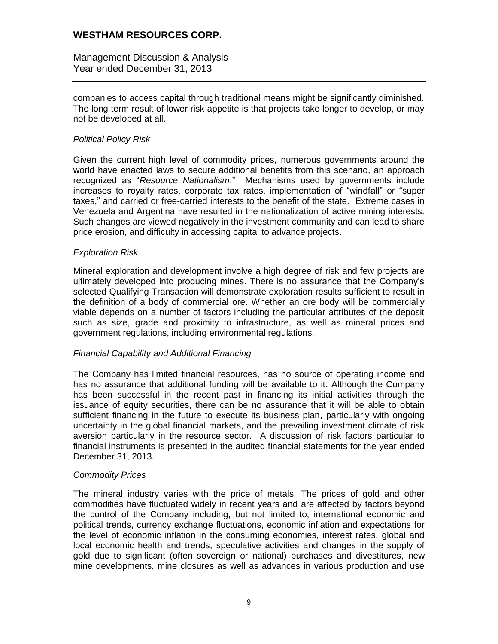Management Discussion & Analysis Year ended December 31, 2013

companies to access capital through traditional means might be significantly diminished. The long term result of lower risk appetite is that projects take longer to develop, or may not be developed at all.

#### *Political Policy Risk*

Given the current high level of commodity prices, numerous governments around the world have enacted laws to secure additional benefits from this scenario, an approach recognized as "*Resource Nationalism*." Mechanisms used by governments include increases to royalty rates, corporate tax rates, implementation of "windfall" or "super taxes," and carried or free-carried interests to the benefit of the state. Extreme cases in Venezuela and Argentina have resulted in the nationalization of active mining interests. Such changes are viewed negatively in the investment community and can lead to share price erosion, and difficulty in accessing capital to advance projects.

#### *Exploration Risk*

Mineral exploration and development involve a high degree of risk and few projects are ultimately developed into producing mines. There is no assurance that the Company's selected Qualifying Transaction will demonstrate exploration results sufficient to result in the definition of a body of commercial ore. Whether an ore body will be commercially viable depends on a number of factors including the particular attributes of the deposit such as size, grade and proximity to infrastructure, as well as mineral prices and government regulations, including environmental regulations.

#### *Financial Capability and Additional Financing*

The Company has limited financial resources, has no source of operating income and has no assurance that additional funding will be available to it. Although the Company has been successful in the recent past in financing its initial activities through the issuance of equity securities, there can be no assurance that it will be able to obtain sufficient financing in the future to execute its business plan, particularly with ongoing uncertainty in the global financial markets, and the prevailing investment climate of risk aversion particularly in the resource sector. A discussion of risk factors particular to financial instruments is presented in the audited financial statements for the year ended December 31, 2013.

#### *Commodity Prices*

The mineral industry varies with the price of metals. The prices of gold and other commodities have fluctuated widely in recent years and are affected by factors beyond the control of the Company including, but not limited to, international economic and political trends, currency exchange fluctuations, economic inflation and expectations for the level of economic inflation in the consuming economies, interest rates, global and local economic health and trends, speculative activities and changes in the supply of gold due to significant (often sovereign or national) purchases and divestitures, new mine developments, mine closures as well as advances in various production and use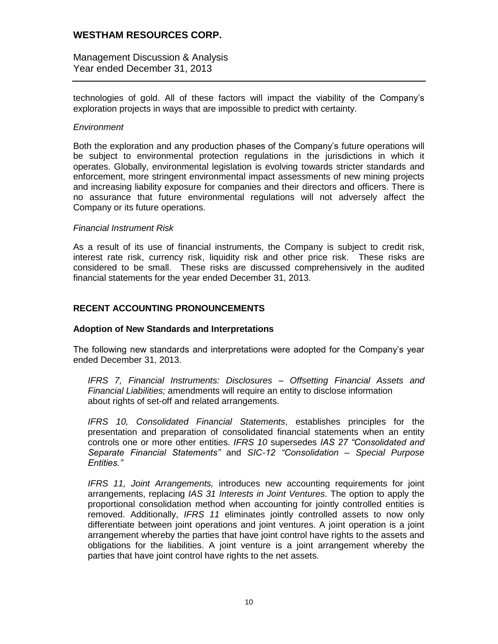Management Discussion & Analysis Year ended December 31, 2013

technologies of gold. All of these factors will impact the viability of the Company's exploration projects in ways that are impossible to predict with certainty.

### *Environment*

Both the exploration and any production phases of the Company's future operations will be subject to environmental protection regulations in the jurisdictions in which it operates. Globally, environmental legislation is evolving towards stricter standards and enforcement, more stringent environmental impact assessments of new mining projects and increasing liability exposure for companies and their directors and officers. There is no assurance that future environmental regulations will not adversely affect the Company or its future operations.

#### *Financial Instrument Risk*

As a result of its use of financial instruments, the Company is subject to credit risk, interest rate risk, currency risk, liquidity risk and other price risk. These risks are considered to be small. These risks are discussed comprehensively in the audited financial statements for the year ended December 31, 2013.

## **RECENT ACCOUNTING PRONOUNCEMENTS**

### **Adoption of New Standards and Interpretations**

The following new standards and interpretations were adopted for the Company's year ended December 31, 2013.

*IFRS 7, Financial Instruments: Disclosures – Offsetting Financial Assets and Financial Liabilities;* amendments will require an entity to disclose information about rights of set-off and related arrangements.

*IFRS 10, Consolidated Financial Statements*, establishes principles for the presentation and preparation of consolidated financial statements when an entity controls one or more other entities. *IFRS 10* supersedes *IAS 27 "Consolidated and Separate Financial Statements"* and *SIC-12 "Consolidation – Special Purpose Entities."*

*IFRS 11, Joint Arrangements,* introduces new accounting requirements for joint arrangements, replacing *IAS 31 Interests in Joint Ventures*. The option to apply the proportional consolidation method when accounting for jointly controlled entities is removed. Additionally, *IFRS 11* eliminates jointly controlled assets to now only differentiate between joint operations and joint ventures. A joint operation is a joint arrangement whereby the parties that have joint control have rights to the assets and obligations for the liabilities. A joint venture is a joint arrangement whereby the parties that have joint control have rights to the net assets.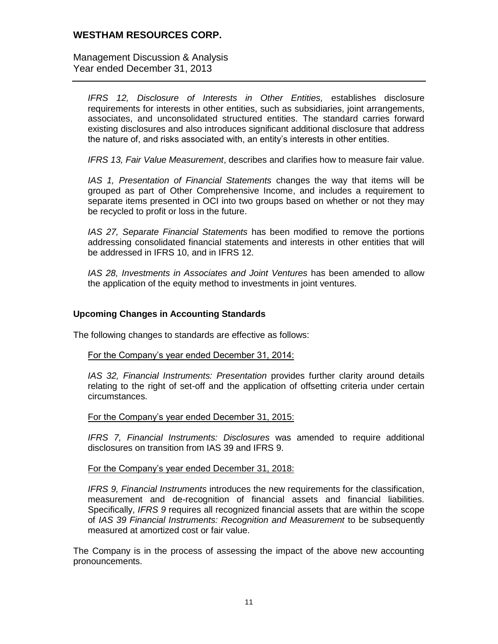Management Discussion & Analysis Year ended December 31, 2013

*IFRS 12, Disclosure of Interests in Other Entities,* establishes disclosure requirements for interests in other entities, such as subsidiaries, joint arrangements, associates, and unconsolidated structured entities. The standard carries forward existing disclosures and also introduces significant additional disclosure that address the nature of, and risks associated with, an entity's interests in other entities.

*IFRS 13, Fair Value Measurement*, describes and clarifies how to measure fair value.

*IAS 1, Presentation of Financial Statements* changes the way that items will be grouped as part of Other Comprehensive Income, and includes a requirement to separate items presented in OCI into two groups based on whether or not they may be recycled to profit or loss in the future.

*IAS 27, Separate Financial Statements* has been modified to remove the portions addressing consolidated financial statements and interests in other entities that will be addressed in IFRS 10, and in IFRS 12.

*IAS 28, Investments in Associates and Joint Ventures* has been amended to allow the application of the equity method to investments in joint ventures.

### **Upcoming Changes in Accounting Standards**

The following changes to standards are effective as follows:

#### For the Company's year ended December 31, 2014:

*IAS 32, Financial Instruments: Presentation* provides further clarity around details relating to the right of set-off and the application of offsetting criteria under certain circumstances.

#### For the Company's year ended December 31, 2015:

*IFRS 7, Financial Instruments: Disclosures* was amended to require additional disclosures on transition from IAS 39 and IFRS 9.

#### For the Company's year ended December 31, 2018:

*IFRS 9, Financial Instruments* introduces the new requirements for the classification, measurement and de-recognition of financial assets and financial liabilities. Specifically, *IFRS 9* requires all recognized financial assets that are within the scope of *IAS 39 Financial Instruments: Recognition and Measurement* to be subsequently measured at amortized cost or fair value.

The Company is in the process of assessing the impact of the above new accounting pronouncements.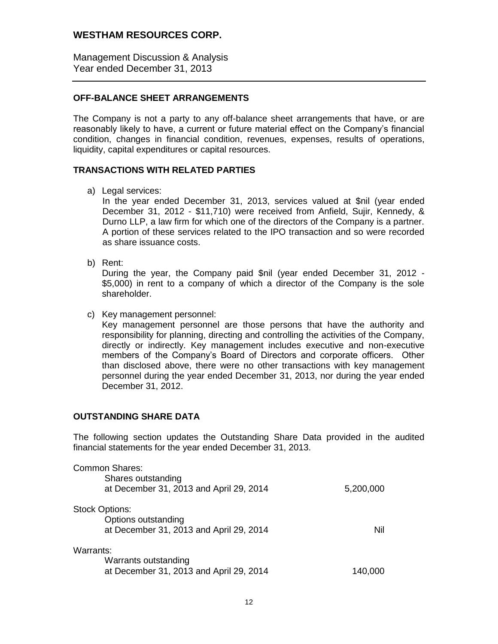Management Discussion & Analysis Year ended December 31, 2013

### **OFF-BALANCE SHEET ARRANGEMENTS**

The Company is not a party to any off-balance sheet arrangements that have, or are reasonably likely to have, a current or future material effect on the Company's financial condition, changes in financial condition, revenues, expenses, results of operations, liquidity, capital expenditures or capital resources.

#### **TRANSACTIONS WITH RELATED PARTIES**

a) Legal services:

In the year ended December 31, 2013, services valued at \$nil (year ended December 31, 2012 - \$11,710) were received from Anfield, Sujir, Kennedy, & Durno LLP, a law firm for which one of the directors of the Company is a partner. A portion of these services related to the IPO transaction and so were recorded as share issuance costs.

b) Rent:

During the year, the Company paid \$nil (year ended December 31, 2012 - \$5,000) in rent to a company of which a director of the Company is the sole shareholder.

c) Key management personnel:

Key management personnel are those persons that have the authority and responsibility for planning, directing and controlling the activities of the Company, directly or indirectly. Key management includes executive and non-executive members of the Company's Board of Directors and corporate officers. Other than disclosed above, there were no other transactions with key management personnel during the year ended December 31, 2013, nor during the year ended December 31, 2012.

## **OUTSTANDING SHARE DATA**

The following section updates the Outstanding Share Data provided in the audited financial statements for the year ended December 31, 2013.

| Common Shares:<br>Shares outstanding<br>at December 31, 2013 and April 29, 2014         | 5,200,000 |
|-----------------------------------------------------------------------------------------|-----------|
| <b>Stock Options:</b><br>Options outstanding<br>at December 31, 2013 and April 29, 2014 | Nil       |
| Warrants:<br>Warrants outstanding<br>at December 31, 2013 and April 29, 2014            | 140.000   |